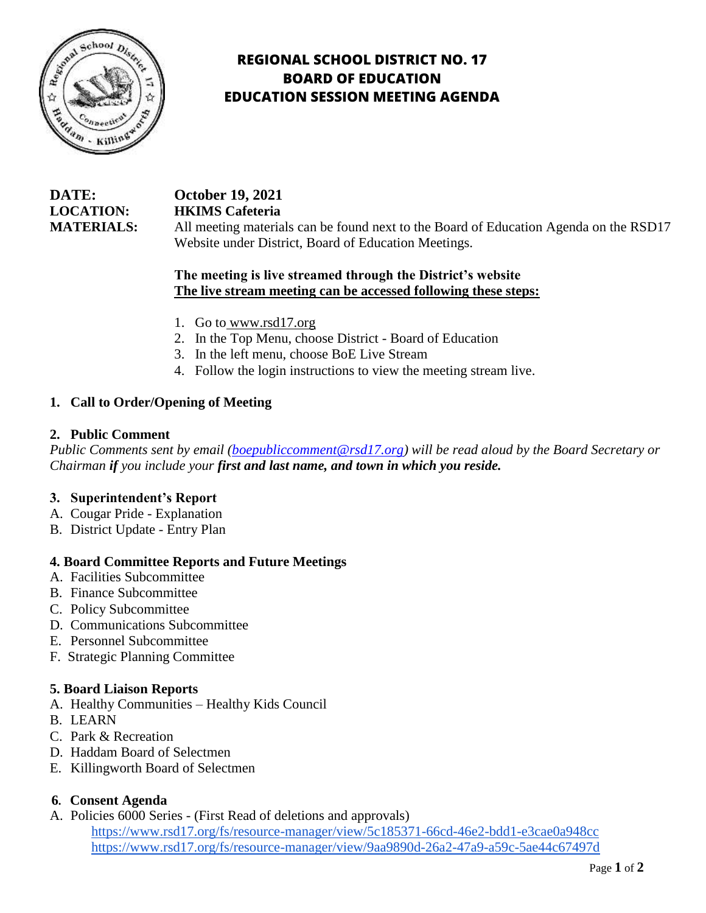

# **REGIONAL SCHOOL DISTRICT NO. 17 BOARD OF EDUCATION EDUCATION SESSION MEETING AGENDA**

| DATE:             | <b>October 19, 2021</b>                                                               |
|-------------------|---------------------------------------------------------------------------------------|
| <b>LOCATION:</b>  | <b>HKIMS</b> Cafeteria                                                                |
| <b>MATERIALS:</b> | All meeting materials can be found next to the Board of Education Agenda on the RSD17 |
|                   | Website under District, Board of Education Meetings.                                  |

# **The meeting is live streamed through the District's website The live stream meeting can be accessed following these steps:**

- 1. Go to [www.rsd17.org](http://www.rsd17.org/)
- 2. In the Top Menu, choose District Board of Education
- 3. In the left menu, choose BoE Live Stream
- 4. Follow the login instructions to view the meeting stream live.

### **1. Call to Order/Opening of Meeting**

#### **2. Public Comment**

*Public Comments sent by email [\(boepubliccomment@rsd17.org\)](mailto:boepubliccomment@rsd17.org) will be read aloud by the Board Secretary or Chairman if you include your first and last name, and town in which you reside.* 

#### **3. Superintendent's Report**

- A. Cougar Pride Explanation
- B. District Update Entry Plan

#### **4. Board Committee Reports and Future Meetings**

- A. Facilities Subcommittee
- B. Finance Subcommittee
- C. Policy Subcommittee
- D. Communications Subcommittee
- E. Personnel Subcommittee
- F. Strategic Planning Committee

#### **5. Board Liaison Reports**

- A. Healthy Communities Healthy Kids Council
- B. LEARN
- C. Park & Recreation
- D. Haddam Board of Selectmen
- E. Killingworth Board of Selectmen

#### **6. Consent Agenda**

A. Policies 6000 Series - (First Read of deletions and approvals)

<https://www.rsd17.org/fs/resource-manager/view/5c185371-66cd-46e2-bdd1-e3cae0a948cc> <https://www.rsd17.org/fs/resource-manager/view/9aa9890d-26a2-47a9-a59c-5ae44c67497d>